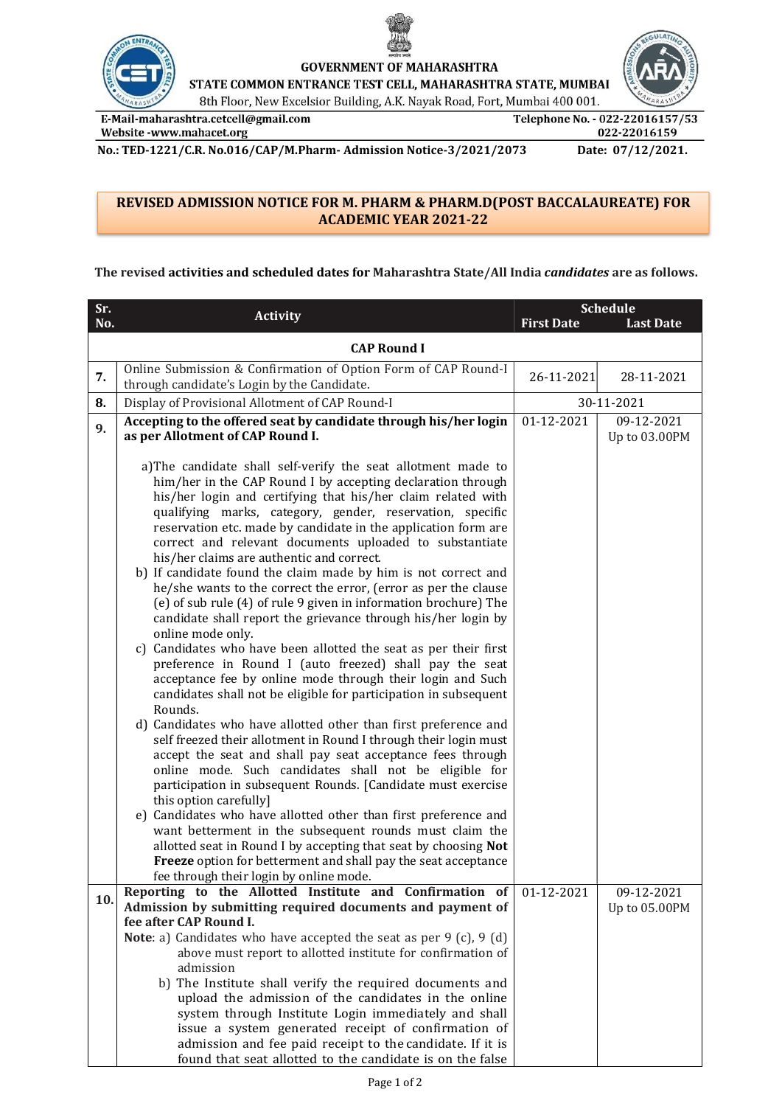



**GOVERNMENT OF MAHARASHTRA** 

STATE COMMON ENTRANCE TEST CELL, MAHARASHTRA STATE, MUMBAI

8th Floor, New Excelsior Building, A.K. Nayak Road, Fort, Mumbai 400 001.

E-Mail-maharashtra.cetcell@gmail.com Website -www.mahacet.org

Telephone No. - 022-22016157/53 022-22016159

No.: TED-1221/C.R. No.016/CAP/M.Pharm- Admission Notice-3/2021/2073 Date: 07/12/2021.

## REVISED ADMISSION NOTICE FOR M. PHARM & PHARM.D(POST BACCALAUREATE) FOR ACADEMIC YEAR 2021-22

## The revised activities and scheduled dates for Maharashtra State/All India candidates are as follows.

| Sr. | <b>Activity</b>                                                                                                                                                                                                                                                                                                                                                                                                                                                                                                                                                                                                                                                                                                                                                                                                                                                                                                                                                                                                                                                                                                                                                                                                                                                                                                                                                                                                                                                                                                                                                                                                                                                                      | <b>Schedule</b>   |                  |  |  |
|-----|--------------------------------------------------------------------------------------------------------------------------------------------------------------------------------------------------------------------------------------------------------------------------------------------------------------------------------------------------------------------------------------------------------------------------------------------------------------------------------------------------------------------------------------------------------------------------------------------------------------------------------------------------------------------------------------------------------------------------------------------------------------------------------------------------------------------------------------------------------------------------------------------------------------------------------------------------------------------------------------------------------------------------------------------------------------------------------------------------------------------------------------------------------------------------------------------------------------------------------------------------------------------------------------------------------------------------------------------------------------------------------------------------------------------------------------------------------------------------------------------------------------------------------------------------------------------------------------------------------------------------------------------------------------------------------------|-------------------|------------------|--|--|
| No. |                                                                                                                                                                                                                                                                                                                                                                                                                                                                                                                                                                                                                                                                                                                                                                                                                                                                                                                                                                                                                                                                                                                                                                                                                                                                                                                                                                                                                                                                                                                                                                                                                                                                                      | <b>First Date</b> | <b>Last Date</b> |  |  |
|     | <b>CAP Round I</b>                                                                                                                                                                                                                                                                                                                                                                                                                                                                                                                                                                                                                                                                                                                                                                                                                                                                                                                                                                                                                                                                                                                                                                                                                                                                                                                                                                                                                                                                                                                                                                                                                                                                   |                   |                  |  |  |
| 7.  | Online Submission & Confirmation of Option Form of CAP Round-I<br>through candidate's Login by the Candidate.                                                                                                                                                                                                                                                                                                                                                                                                                                                                                                                                                                                                                                                                                                                                                                                                                                                                                                                                                                                                                                                                                                                                                                                                                                                                                                                                                                                                                                                                                                                                                                        | 26-11-2021        | 28-11-2021       |  |  |
| 8.  | Display of Provisional Allotment of CAP Round-I                                                                                                                                                                                                                                                                                                                                                                                                                                                                                                                                                                                                                                                                                                                                                                                                                                                                                                                                                                                                                                                                                                                                                                                                                                                                                                                                                                                                                                                                                                                                                                                                                                      | 30-11-2021        |                  |  |  |
| 9.  | Accepting to the offered seat by candidate through his/her login                                                                                                                                                                                                                                                                                                                                                                                                                                                                                                                                                                                                                                                                                                                                                                                                                                                                                                                                                                                                                                                                                                                                                                                                                                                                                                                                                                                                                                                                                                                                                                                                                     | 01-12-2021        | 09-12-2021       |  |  |
|     | as per Allotment of CAP Round I.                                                                                                                                                                                                                                                                                                                                                                                                                                                                                                                                                                                                                                                                                                                                                                                                                                                                                                                                                                                                                                                                                                                                                                                                                                                                                                                                                                                                                                                                                                                                                                                                                                                     |                   | Up to 03.00PM    |  |  |
|     | a)The candidate shall self-verify the seat allotment made to<br>him/her in the CAP Round I by accepting declaration through<br>his/her login and certifying that his/her claim related with<br>qualifying marks, category, gender, reservation, specific<br>reservation etc. made by candidate in the application form are<br>correct and relevant documents uploaded to substantiate<br>his/her claims are authentic and correct.<br>b) If candidate found the claim made by him is not correct and<br>he/she wants to the correct the error, (error as per the clause<br>(e) of sub rule (4) of rule 9 given in information brochure) The<br>candidate shall report the grievance through his/her login by<br>online mode only.<br>c) Candidates who have been allotted the seat as per their first<br>preference in Round I (auto freezed) shall pay the seat<br>acceptance fee by online mode through their login and Such<br>candidates shall not be eligible for participation in subsequent<br>Rounds.<br>d) Candidates who have allotted other than first preference and<br>self freezed their allotment in Round I through their login must<br>accept the seat and shall pay seat acceptance fees through<br>online mode. Such candidates shall not be eligible for<br>participation in subsequent Rounds. [Candidate must exercise<br>this option carefully]<br>e) Candidates who have allotted other than first preference and<br>want betterment in the subsequent rounds must claim the<br>allotted seat in Round I by accepting that seat by choosing Not<br>Freeze option for betterment and shall pay the seat acceptance<br>fee through their login by online mode. |                   |                  |  |  |
| 10. | Reporting to the Allotted Institute and Confirmation of                                                                                                                                                                                                                                                                                                                                                                                                                                                                                                                                                                                                                                                                                                                                                                                                                                                                                                                                                                                                                                                                                                                                                                                                                                                                                                                                                                                                                                                                                                                                                                                                                              | 01-12-2021        | 09-12-2021       |  |  |
|     | Admission by submitting required documents and payment of<br>fee after CAP Round I.                                                                                                                                                                                                                                                                                                                                                                                                                                                                                                                                                                                                                                                                                                                                                                                                                                                                                                                                                                                                                                                                                                                                                                                                                                                                                                                                                                                                                                                                                                                                                                                                  |                   | Up to 05.00PM    |  |  |
|     | <b>Note</b> : a) Candidates who have accepted the seat as per $9$ (c), $9$ (d)                                                                                                                                                                                                                                                                                                                                                                                                                                                                                                                                                                                                                                                                                                                                                                                                                                                                                                                                                                                                                                                                                                                                                                                                                                                                                                                                                                                                                                                                                                                                                                                                       |                   |                  |  |  |
|     | above must report to allotted institute for confirmation of                                                                                                                                                                                                                                                                                                                                                                                                                                                                                                                                                                                                                                                                                                                                                                                                                                                                                                                                                                                                                                                                                                                                                                                                                                                                                                                                                                                                                                                                                                                                                                                                                          |                   |                  |  |  |
|     | admission<br>b) The Institute shall verify the required documents and                                                                                                                                                                                                                                                                                                                                                                                                                                                                                                                                                                                                                                                                                                                                                                                                                                                                                                                                                                                                                                                                                                                                                                                                                                                                                                                                                                                                                                                                                                                                                                                                                |                   |                  |  |  |
|     | upload the admission of the candidates in the online                                                                                                                                                                                                                                                                                                                                                                                                                                                                                                                                                                                                                                                                                                                                                                                                                                                                                                                                                                                                                                                                                                                                                                                                                                                                                                                                                                                                                                                                                                                                                                                                                                 |                   |                  |  |  |
|     | system through Institute Login immediately and shall                                                                                                                                                                                                                                                                                                                                                                                                                                                                                                                                                                                                                                                                                                                                                                                                                                                                                                                                                                                                                                                                                                                                                                                                                                                                                                                                                                                                                                                                                                                                                                                                                                 |                   |                  |  |  |
|     | issue a system generated receipt of confirmation of                                                                                                                                                                                                                                                                                                                                                                                                                                                                                                                                                                                                                                                                                                                                                                                                                                                                                                                                                                                                                                                                                                                                                                                                                                                                                                                                                                                                                                                                                                                                                                                                                                  |                   |                  |  |  |
|     | admission and fee paid receipt to the candidate. If it is<br>found that seat allotted to the candidate is on the false                                                                                                                                                                                                                                                                                                                                                                                                                                                                                                                                                                                                                                                                                                                                                                                                                                                                                                                                                                                                                                                                                                                                                                                                                                                                                                                                                                                                                                                                                                                                                               |                   |                  |  |  |